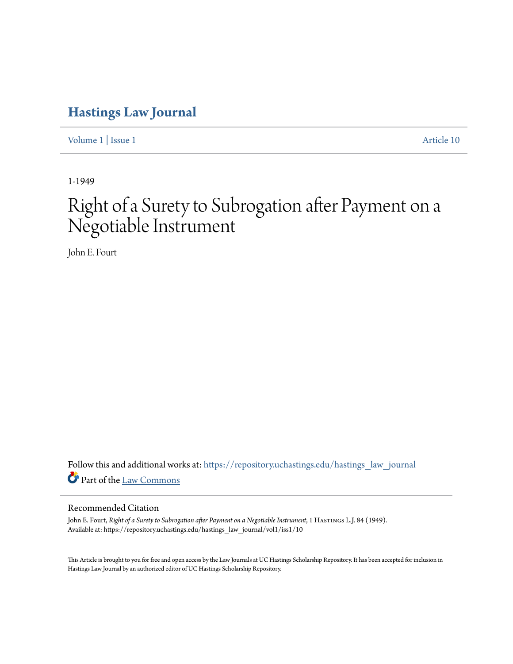## **[Hastings Law Journal](https://repository.uchastings.edu/hastings_law_journal?utm_source=repository.uchastings.edu%2Fhastings_law_journal%2Fvol1%2Fiss1%2F10&utm_medium=PDF&utm_campaign=PDFCoverPages)**

[Volume 1](https://repository.uchastings.edu/hastings_law_journal/vol1?utm_source=repository.uchastings.edu%2Fhastings_law_journal%2Fvol1%2Fiss1%2F10&utm_medium=PDF&utm_campaign=PDFCoverPages) | [Issue 1](https://repository.uchastings.edu/hastings_law_journal/vol1/iss1?utm_source=repository.uchastings.edu%2Fhastings_law_journal%2Fvol1%2Fiss1%2F10&utm_medium=PDF&utm_campaign=PDFCoverPages) [Article 10](https://repository.uchastings.edu/hastings_law_journal/vol1/iss1/10?utm_source=repository.uchastings.edu%2Fhastings_law_journal%2Fvol1%2Fiss1%2F10&utm_medium=PDF&utm_campaign=PDFCoverPages)

1-1949

## Right of a Surety to Subrogation after Payment on a Negotiable Instrument

John E. Fourt

Follow this and additional works at: [https://repository.uchastings.edu/hastings\\_law\\_journal](https://repository.uchastings.edu/hastings_law_journal?utm_source=repository.uchastings.edu%2Fhastings_law_journal%2Fvol1%2Fiss1%2F10&utm_medium=PDF&utm_campaign=PDFCoverPages) Part of the [Law Commons](http://network.bepress.com/hgg/discipline/578?utm_source=repository.uchastings.edu%2Fhastings_law_journal%2Fvol1%2Fiss1%2F10&utm_medium=PDF&utm_campaign=PDFCoverPages)

## Recommended Citation

John E. Fourt, *Right of a Surety to Subrogation after Payment on a Negotiable Instrument*, 1 HASTINGS L.J. 84 (1949). Available at: https://repository.uchastings.edu/hastings\_law\_journal/vol1/iss1/10

This Article is brought to you for free and open access by the Law Journals at UC Hastings Scholarship Repository. It has been accepted for inclusion in Hastings Law Journal by an authorized editor of UC Hastings Scholarship Repository.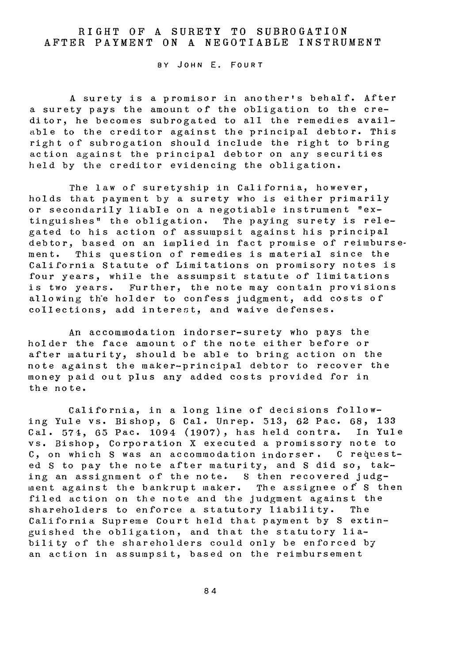## RIGHT OF **A** SURETY TO SUBROGATION AFTER PAYMENT **ON A** NEGOTIABLE INSTRUMENT

BY JOHN **E.** FOURT

A surety is a promisor in another's behalf. After a surety pays the amount of the obligation to the creditor, he becomes subrogated to all the remedies available to the creditor against the principal debtor. This right of subrogation should include the right to bring action against the principal debtor on any securities held by the creditor evidencing the obligation.

The law of suretyship in California, however, holds that payment by a surety who is either primarily or secondarily liable on a negotiable instrument "extinguishes" the obligation. The paying surety is relegated to his action of assumpsit against his principal debtor, based on an implied in fact promise of reimbursement. This question of remedies is material since the California Statute of Limitations on promisory notes is four years, while the assumpsit statute of limitations is two years. Further, the note may contain provisions allowing th'e holder to confess judgment, add costs of collections, add interest, and waive defenses.

An accommodation indorser-surety who pays the holder the face amount of the note either before or after maturity, should be able to bring action on the note against the maker-principal debtor to recover the money paid out plus any added costs provided for in the note.

California, in a long line of decisions following Yule vs. Bishop, **6** Cal. Unrep. 513, 62 Pac. 68, 133 Cal. **571,** 65 Pac. 1094 (1907), has held contra. In Yule vs. Bishop, Corporation X executed a promissory note to C, on which S was an accommodation indorser. C requested S to pay the note after maturity, and S did so, taking an assignment of the note. S then recovered judgment against the bankrupt maker. The assignee of S then filed action on the note and the judgment against the shareholders to enforce a statutory liability. The California Supreme Court held that payment by S extinguished the obligation, and that the statutory liability of the shareholders could only be enforced by an action in assumpsit, based on the reimbursement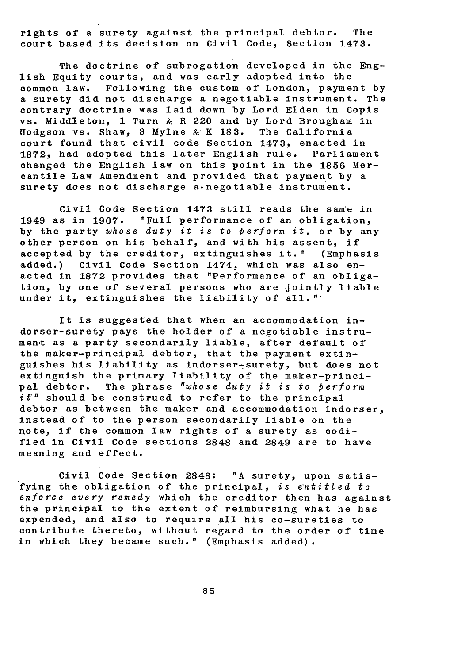rights of a surety against the principal debtor. The court based its decision on Civil Code, Section 1473.

The doctrine of subrogation developed in the English Equity courts, and was early adopted into the Following the custom of London, payment by a surety did not discharge a negotiable instrument. The contrary doctrine was laid down by Lord Elden in Copis vs. Middleton, **1** Turn & R 220 and by Lord Brougham in Iodgson vs. Shaw, **3** Mylne & K **183.** The California court found that civil code Section 1473, enacted in 1872, had adopted this later English rule. Parliament changed the English law on this point in the 1856 Mercantile Law Amendment and provided that payment by a surety does not discharge a-negotiable instrument.

Civil Code Section 1473 still reads the same in 1949 as in **1907. "Full** performance of an obligation, by the party whose duty it is to  $perform$  it, or by any other person on his behalf, and with his assent, if accepted by the creditor, extinguishes it." (Emphasis added.) Civil Code Section 1474, which was also enacted in **1872** provides that "Performance of an obligation, by one of several persons who are jointly liable under it, extinguishes the liability of all."

It is suggested that when an accommodation indorser-surety pays the holder of a negotiable instrumen-t as a party secondarily liable, after default of the maker-principal debtor, that the payment extinguishes his liability as indorser-surety, but does not extinguish the primary liability of the maker-principal debtor. The phrase "whose duty it is to perform *it"* should be construed to refer to the principal debtor as between the maker and accommodation indorser, instead of to the person secondarily liable on the note, if the common law rights of a surety as codified in Civil Code sections 2848 and 2849 are to have meaning and effect.

Civil Code Section 2848: "A surety, upon satisfying the obligation of the principal, is entitled to *enforce every remedy* which the creditor then has against the principal to the extent of reimbursing what he has expended, and also to require all his co-sureties to contribute thereto, without regard to the order of time in which they became such." (Emphasis added).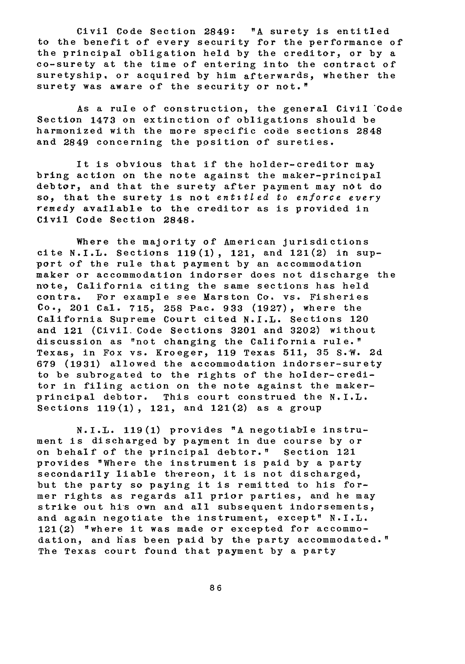Civil Code Section 2849: "A surety is entitled to the benefit of every security for the performance of the principal obligation held by the creditor, or by a co-surety at the time of entering into the contract of suretyship, or acquired by him afterwards, whether the surety was aware of the security or not."

As a rule of construction, the general Civil Code Section 1473 on extinction of obligations should be harmonized with the more specific code sections **2848** and 2849 concerning the position **of** sureties.

It is obvious that if the holder-creditor may bring action on the note against the maker-principal debtor, and that the surety after payment may not do so, that the surety is not *entitled to enforce every remedy* available to the creditor as is provided in Civil Code Section **2848.**

Where the majority of American jurisdictions cite N.I.L. Sections **119(1),** 121, and 121(2) in support of the rule that payment **by** an accommodation maker or accommodation indorser does not discharge the note, California citing the same section's has held contra. For example see Marston Co. vs. Fisheries Co., 201 Cal. **715, 258** Pac. **933** (1927), where the California Supreme Court cited N.I.L. Sections 120 and 121 (Civil. Code Sections **3201** and **3202)** without discussion as "not changing the California rule." Texas, in Fox vs. Kroeger, **119** Texas **511, 35** S.W. **2d 679 (1931)** allowed the accommodation indorser-surety to be subrogated to the rights of the holder-creditor in filing action on the note against the makerprincipal debtor. This court construed the N.I.L. Sections **119(1),** 121, and 121(2) as a group

N.I.L. **119(1)** provides **"A** negotiable instrument is discharged **by** payment in due course **by** or on behalf of the principal debtor." Section 121 provides "Where the instrument is paid **by** a party secondarily liable thereon, it is not discharged, but the party so paying it is remitted to his former rights as regards all prior parties, and he may strike out his own and all subsequent indorsements, and again negotiate the instrument, except" N.I.L. 121(2) "where it was made or excepted for accommodation, and has been paid by the party accommodated." The Texas court found that payment **by** a party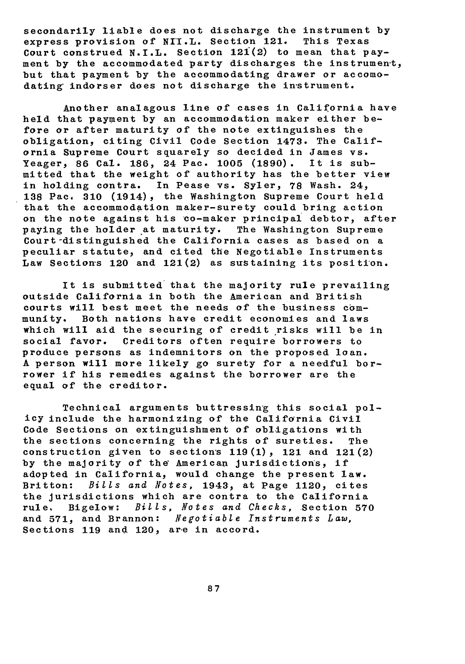secondarily liable does not discharge the instrument by express provision of NII.L. Section 121. This Texas Court construed N.I.L. Section **121(2)** to mean that payment by the accommodated party discharges the instrument, but that payment by the accommodating drawer or accomodating indorser does not discharge the instrument.

Another analagous line of cases in California have held that payment **by** an accommodation maker either before or after maturity of the note extinguishes the obligation, citing Civil Code Section 1473. The California Supreme Court squarely so decided in James vs. Yeager, 86 Cal. 186, 24 Pac. 1005 (1890). mitted that the weight of authority has the better view in holding contra. In Pease vs. Syler, **78** Wash. 24, **138** Pac. **310** (1914), the Washington Supreme Court held that the accommodation maker-surety could bring action on the note against his co-maker principal debtor, after paying the holder at maturity. The Washington Supreme Court-distinguished the California cases as based on a peculiar statute, and cited the Negotiable Instruments Law Section's 120 and 121(2) as sustaining its position.

It is submitted that the majority rule prevailing outside California in both the American and British courts will best meet the needs **of** the business community. Both nations have credit economies and laws which will aid the securing of credit risks will be in social favor. Creditors often require borrowers to produce persons as indemnitors on the proposed loan. A person will more likely go surety for a needful borrower if his remedies against the borrower are the equal of the creditor.

Technical arguments buttressing this social policy include the harmonizing of the California Civil Code Sections on extinguishment of obligations with the sections concerning the rights of sureties. The construction given to sections **119(1),** 121 and 121(2) **by** the majority **of the"** American jurisdictions, if adopted in California, would change the present law. Britton: Bills and Notes, 1943, at Page 1120, cites the jurisdictions which are contra to the California rule. Bigelow: Bills, Motes and Checks, Section **570** and 571, and Brannon: Negotiable Instruments Law, Sections 119 and 120, are in accord.